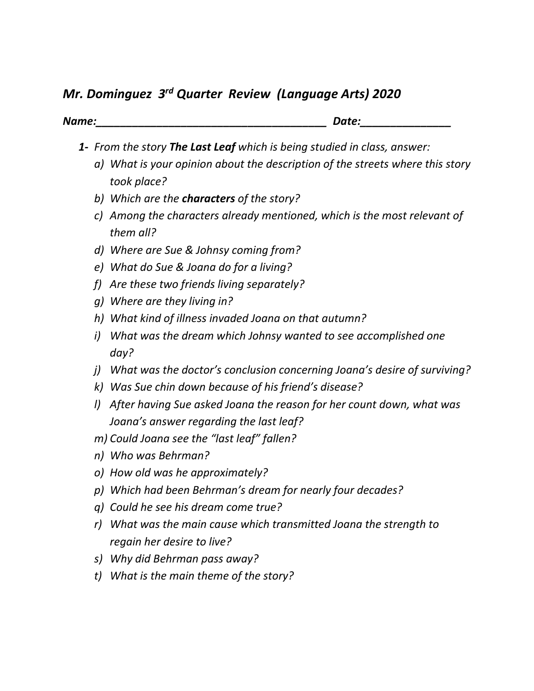## *Mr. Dominguez 3 rd Quarter Review (Language Arts) 2020*

*Name:\_\_\_\_\_\_\_\_\_\_\_\_\_\_\_\_\_\_\_\_\_\_\_\_\_\_\_\_\_\_\_\_\_\_\_\_\_\_ Date:\_\_\_\_\_\_\_\_\_\_\_\_\_\_\_*

- *1- From the story The Last Leaf which is being studied in class, answer:*
	- *a) What is your opinion about the description of the streets where this story took place?*
	- *b) Which are the characters of the story?*
	- *c) Among the characters already mentioned, which is the most relevant of them all?*
	- *d) Where are Sue & Johnsy coming from?*
	- *e) What do Sue & Joana do for a living?*
	- *f) Are these two friends living separately?*
	- *g) Where are they living in?*
	- *h) What kind of illness invaded Joana on that autumn?*
	- *i) What was the dream which Johnsy wanted to see accomplished one day?*
	- *j) What was the doctor's conclusion concerning Joana's desire of surviving?*
	- *k) Was Sue chin down because of his friend's disease?*
	- *l) After having Sue asked Joana the reason for her count down, what was Joana's answer regarding the last leaf?*
	- *m) Could Joana see the "last leaf" fallen?*
	- *n) Who was Behrman?*
	- *o) How old was he approximately?*
	- *p) Which had been Behrman's dream for nearly four decades?*
	- *q) Could he see his dream come true?*
	- *r) What was the main cause which transmitted Joana the strength to regain her desire to live?*
	- *s) Why did Behrman pass away?*
	- *t) What is the main theme of the story?*